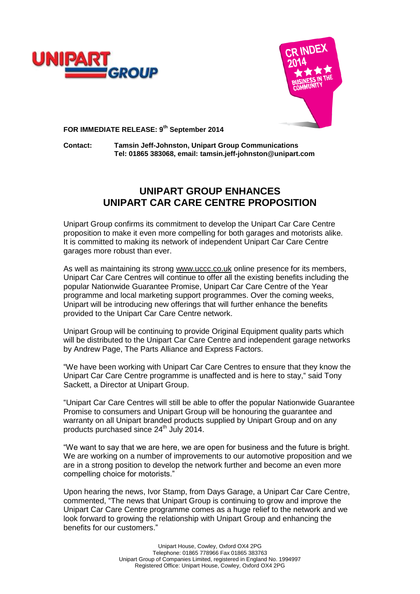



**FOR IMMEDIATE RELEASE: 9th September 2014**

**Contact: Tamsin Jeff-Johnston, Unipart Group Communications Tel: 01865 383068, email: tamsin.jeff-johnston@unipart.com**

# **UNIPART GROUP ENHANCES UNIPART CAR CARE CENTRE PROPOSITION**

Unipart Group confirms its commitment to develop the Unipart Car Care Centre proposition to make it even more compelling for both garages and motorists alike. It is committed to making its network of independent Unipart Car Care Centre garages more robust than ever.

As well as maintaining its strong [www.uccc.co.uk](http://www.uccc.co.uk/) online presence for its members, Unipart Car Care Centres will continue to offer all the existing benefits including the popular Nationwide Guarantee Promise, Unipart Car Care Centre of the Year programme and local marketing support programmes. Over the coming weeks, Unipart will be introducing new offerings that will further enhance the benefits provided to the Unipart Car Care Centre network.

Unipart Group will be continuing to provide Original Equipment quality parts which will be distributed to the Unipart Car Care Centre and independent garage networks by Andrew Page, The Parts Alliance and Express Factors.

"We have been working with Unipart Car Care Centres to ensure that they know the Unipart Car Care Centre programme is unaffected and is here to stay," said Tony Sackett, a Director at Unipart Group.

"Unipart Car Care Centres will still be able to offer the popular Nationwide Guarantee Promise to consumers and Unipart Group will be honouring the guarantee and warranty on all Unipart branded products supplied by Unipart Group and on any products purchased since 24<sup>th</sup> July 2014.

"We want to say that we are here, we are open for business and the future is bright. We are working on a number of improvements to our automotive proposition and we are in a strong position to develop the network further and become an even more compelling choice for motorists."

Upon hearing the news, Ivor Stamp, from Days Garage, a Unipart Car Care Centre, commented, "The news that Unipart Group is continuing to grow and improve the Unipart Car Care Centre programme comes as a huge relief to the network and we look forward to growing the relationship with Unipart Group and enhancing the benefits for our customers."